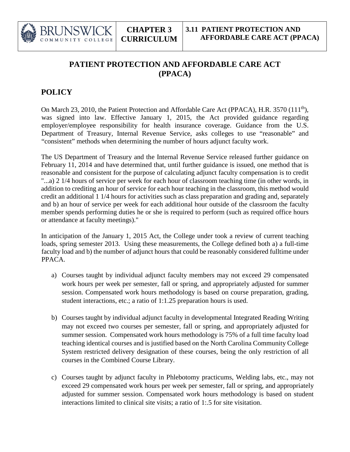

## **PATIENT PROTECTION AND AFFORDABLE CARE ACT (PPACA)**

## **POLICY**

On March 23, 2010, the Patient Protection and Affordable Care Act (PPACA), H.R. 3570 (111<sup>th</sup>), was signed into law. Effective January 1, 2015, the Act provided guidance regarding employer/employee responsibility for health insurance coverage. Guidance from the U.S. Department of Treasury, Internal Revenue Service, asks colleges to use "reasonable" and "consistent" methods when determining the number of hours adjunct faculty work.

The US Department of Treasury and the Internal Revenue Service released further guidance on February 11, 2014 and have determined that, until further guidance is issued, one method that is reasonable and consistent for the purpose of calculating adjunct faculty compensation is to credit "...a) 2 1/4 hours of service per week for each hour of classroom teaching time (in other words, in addition to crediting an hour of service for each hour teaching in the classroom, this method would credit an additional 1 1/4 hours for activities such as class preparation and grading and, separately and b) an hour of service per week for each additional hour outside of the classroom the faculty member spends performing duties he or she is required to perform (such as required office hours or attendance at faculty meetings)."

In anticipation of the January 1, 2015 Act, the College under took a review of current teaching loads, spring semester 2013. Using these measurements, the College defined both a) a full-time faculty load and b) the number of adjunct hours that could be reasonably considered fulltime under PPACA.

- a) Courses taught by individual adjunct faculty members may not exceed 29 compensated work hours per week per semester, fall or spring, and appropriately adjusted for summer session. Compensated work hours methodology is based on course preparation, grading, student interactions, etc.; a ratio of 1:1.25 preparation hours is used.
- b) Courses taught by individual adjunct faculty in developmental Integrated Reading Writing may not exceed two courses per semester, fall or spring, and appropriately adjusted for summer session. Compensated work hours methodology is 75% of a full time faculty load teaching identical courses and is justified based on the North Carolina Community College System restricted delivery designation of these courses, being the only restriction of all courses in the Combined Course Library.
- c) Courses taught by adjunct faculty in Phlebotomy practicums, Welding labs, etc., may not exceed 29 compensated work hours per week per semester, fall or spring, and appropriately adjusted for summer session. Compensated work hours methodology is based on student interactions limited to clinical site visits; a ratio of 1:.5 for site visitation.